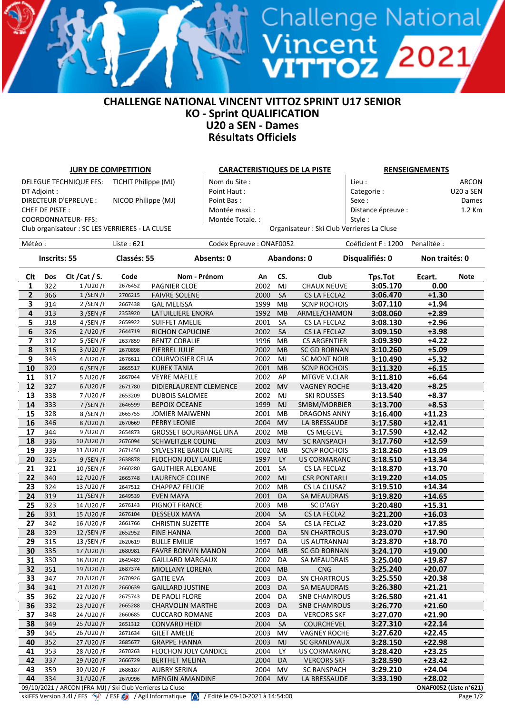## **CHALLENGE NATIONAL VINCENT VITTOZ SPRINT U17 SENIOR KO - Sprint QUALIFICATION U20 a SEN - Dames Résultats Officiels**

U

**TOZ** 

| <b>JURY DE COMPETITION</b>                     |            |                                                           |                    |                               | <b>CARACTERISTIQUES DE LA PISTE</b> |             |           |                     |                                            | <b>RENSEIGNEMENTS</b> |                        |  |  |
|------------------------------------------------|------------|-----------------------------------------------------------|--------------------|-------------------------------|-------------------------------------|-------------|-----------|---------------------|--------------------------------------------|-----------------------|------------------------|--|--|
| TICHIT Philippe (MJ)<br>DELEGUE TECHNIQUE FFS: |            |                                                           |                    | Nom du Site :                 |                                     |             |           | Lieu :              |                                            | <b>ARCON</b>          |                        |  |  |
| DT Adjoint :                                   |            |                                                           |                    | Point Haut:                   |                                     |             |           | Categorie:          |                                            | U20 a SEN             |                        |  |  |
| DIRECTEUR D'EPREUVE :<br>NICOD Philippe (MJ)   |            |                                                           |                    | Point Bas:                    |                                     |             |           | Sexe:               |                                            | Dames                 |                        |  |  |
| CHEF DE PISTE :                                |            |                                                           |                    | Montée maxi.:                 |                                     |             |           | Distance épreuve :  |                                            | 1.2 Km                |                        |  |  |
|                                                |            | <b>COORDONNATEUR- FFS:</b>                                |                    |                               | Montée Totale. :                    |             |           |                     | Style:                                     |                       |                        |  |  |
|                                                |            | Club organisateur : SC LES VERRIERES - LA CLUSE           |                    |                               |                                     |             |           |                     | Organisateur : Ski Club Verrieres La Cluse |                       |                        |  |  |
| Météo :                                        |            |                                                           | Liste: 621         |                               | Codex Epreuve: ONAF0052             |             |           |                     | Coéficient F: 1200                         | Penalitée :           |                        |  |  |
|                                                |            |                                                           |                    |                               |                                     |             |           |                     |                                            |                       |                        |  |  |
| <b>Inscrits: 55</b>                            |            |                                                           | Classés: 55        |                               | Absents: 0                          | Abandons: 0 |           |                     | Disqualifiés: 0                            | Non traités: 0        |                        |  |  |
| Clt                                            | Dos        | Clt / Cat / S.                                            | Code               | Nom - Prénom                  |                                     | An          | CS.       | Club                | Tps.Tot                                    | Ecart.                | <b>Note</b>            |  |  |
| $\mathbf{1}$                                   | 322        | 1/U20/F                                                   | 2676452            | PAGNIER CLOE                  |                                     | 2002        | MJ        | <b>CHAUX NEUVE</b>  | 3:05.170                                   | 0.00                  |                        |  |  |
| $\overline{2}$                                 | 366        | $1/$ SEN/F                                                | 2706215            | <b>FAIVRE SOLENE</b>          |                                     | 2000        | SA        | CS LA FECLAZ        | 3:06.470                                   | $+1.30$               |                        |  |  |
| 3                                              | 314        | 2/SEN/F                                                   | 2667438            | <b>GAL MELISSA</b>            |                                     | 1999        | MB        | <b>SCNP ROCHOIS</b> | 3:07.110                                   | $+1.94$               |                        |  |  |
| 4                                              | 313        | $3/$ SEN/F                                                | 2353920            | LATUILLIERE ENORA             |                                     | 1992        | <b>MB</b> | ARMEE/CHAMON        | 3:08.060                                   | $+2.89$               |                        |  |  |
| 5                                              | 318        | 4/SEN/F                                                   | 2659922            | <b>SUIFFET AMELIE</b>         |                                     | 2001        | SA        | CS LA FECLAZ        | 3:08.130                                   | $+2.96$               |                        |  |  |
| 6                                              | 326        | 2/U20/F                                                   | 2644719            | <b>RICHON CAPUCINE</b>        |                                     | 2002        | SA        | CS LA FECLAZ        | 3:09.150                                   | $+3.98$               |                        |  |  |
| 7                                              | 312        | 5 / SEN / F                                               | 2637859            | <b>BENTZ CORALIE</b>          |                                     | 1996        | MB        | <b>CS ARGENTIER</b> | 3:09.390                                   | $+4.22$               |                        |  |  |
| 8                                              | 316        | 3/U20/F                                                   | 2670898            | PIERREL JULIE                 |                                     | 2002        | MB        | <b>SC GD BORNAN</b> | 3:10.260                                   | $+5.09$               |                        |  |  |
| 9                                              | 343        | 4/U20/F                                                   | 2676611            | <b>COURVOISIER CELIA</b>      |                                     | 2002        | MJ        | SC MONT NOIR        | 3:10.490                                   | $+5.32$               |                        |  |  |
| 10                                             | 320        | $6/$ SEN/F                                                | 2665517            | <b>KUREK TANIA</b>            |                                     | 2001        | <b>MB</b> | <b>SCNP ROCHOIS</b> | 3:11.320                                   | $+6.15$               |                        |  |  |
| 11                                             | 317        | 5/U20/F                                                   | 2667044            | <b>VEYRE MAELLE</b>           |                                     | 2002        | AP        | MTGVE V.CLAR        | 3:11.810                                   | $+6.64$               |                        |  |  |
| 12                                             | 327        | 6/U20/F                                                   | 2671780            | DIDIERLAURENT CLEMENCE        |                                     | 2002        | <b>MV</b> | <b>VAGNEY ROCHE</b> | 3:13.420                                   | $+8.25$               |                        |  |  |
| 13                                             | 338        | 7/U20/F                                                   | 2653209            | <b>DUBOIS SALOMEE</b>         |                                     | 2002        | MJ        | <b>SKI ROUSSES</b>  | 3:13.540                                   | $+8.37$               |                        |  |  |
| 14                                             | 333        | 7/SEN/F                                                   | 2646599            | <b>BEPOIX OCEANE</b>          |                                     | 1999        | MJ        | SMBM/MORBIER        | 3:13.700                                   | $+8.53$               |                        |  |  |
| 15                                             | 328        | 8/SEN/F                                                   | 2665755            | JOMIER MAIWENN                |                                     | 2001        | MB        | <b>DRAGONS ANNY</b> | 3:16.400                                   | $+11.23$              |                        |  |  |
| 16                                             | 346        | 8/U20/F                                                   | 2670669            | <b>PERRY LEONIE</b>           |                                     | 2004        | <b>MV</b> | LA BRESSAUDE        | 3:17.580                                   | $+12.41$              |                        |  |  |
| 17                                             | 344        | 9/U20/F                                                   | 2654873            | <b>GROSSET BOURBANGE LINA</b> |                                     | 2002        | MB        | CS MEGEVE           | 3:17.590                                   | $+12.42$              |                        |  |  |
| 18                                             | 336        | 10/U20/F                                                  | 2676094            | <b>SCHWEITZER COLINE</b>      |                                     | 2003        | <b>MV</b> | <b>SC RANSPACH</b>  | 3:17.760                                   | $+12.59$              |                        |  |  |
| 19                                             | 339        | 11/U20/F                                                  | 2671450            | SYLVESTRE BARON CLAIRE        |                                     | 2002        | MB        | <b>SCNP ROCHOIS</b> | 3:18.260                                   | $+13.09$              |                        |  |  |
| 20                                             | 325        | 9/SEN/F                                                   | 2638878            | <b>FLOCHON JOLY LAURIE</b>    |                                     | 1997        | LY        | <b>US CORMARANC</b> | 3:18.510                                   | $+13.34$              |                        |  |  |
| 21                                             | 321        | 10/SEN/F                                                  | 2660280            | <b>GAUTHIER ALEXIANE</b>      |                                     | 2001        | SA        | CS LA FECLAZ        | 3:18.870                                   | $+13.70$              |                        |  |  |
| 22                                             | 340        | 12/U20/F                                                  | 2665748            | LAURENCE COLINE               |                                     | 2002        | MJ        | <b>CSR PONTARLI</b> | 3:19.220                                   | $+14.05$              |                        |  |  |
| 23                                             | 324        | 13/U20/F                                                  | 2647512            | <b>CHAPPAZ FELICIE</b>        |                                     | 2002        | MB        | CS LA CLUSAZ        | 3:19.510                                   | $+14.34$              |                        |  |  |
| 24                                             | 319        | 11/SEN/F                                                  | 2649539            | <b>EVEN MAYA</b>              |                                     | 2001        | DA        | SA MEAUDRAIS        | 3:19.820                                   | $+14.65$              |                        |  |  |
| 25                                             | 323        | 14/U20/F                                                  | 2676143            | PIGNOT FRANCE                 |                                     | 2003        | MB        | SC D'AGY            | 3:20.480                                   | $+15.31$              |                        |  |  |
| 26                                             | 331        | 15/U20/F                                                  | 2676104            | <b>DESSEUX MAYA</b>           |                                     | 2004        | SA        | CS LA FECLAZ        | 3:21.200                                   | $+16.03$              |                        |  |  |
| 27                                             | 342        | 16/U20/F                                                  | 2661766            | <b>CHRISTIN SUZETTE</b>       |                                     | 2004        | SA        | CS LA FECLAZ        | 3:23.020                                   | $+17.85$              |                        |  |  |
| 28                                             | 329        | 12 / SEN / F                                              | 2652952            | <b>FINE HANNA</b>             |                                     | 2000        | DA        | <b>SN CHARTROUS</b> | 3:23.070                                   | $+17.90$              |                        |  |  |
| 29                                             | 315        | 13 / SEN / F                                              | 2620619            | <b>BULLE EMILIE</b>           |                                     | 1997        | DA        | US AUTRANNAI        | 3:23.870                                   | $+18.70$              |                        |  |  |
| 30                                             | 335        | 17/U20/F                                                  | 2680981            | <b>FAVRE BONVIN MANON</b>     |                                     | 2004        | <b>MB</b> | <b>SC GD BORNAN</b> | 3:24.170                                   | $+19.00$              |                        |  |  |
| 31                                             | 330        | 18/U20/F                                                  | 2649489            | <b>GAILLARD MARGAUX</b>       |                                     | 2002        | DA        | SA MEAUDRAIS        | 3:25.040                                   | $+19.87$              |                        |  |  |
| 32                                             | 351        | 19/U20/F                                                  | 2687374            | MIOLLANY LORENA               |                                     | 2004        | <b>MB</b> | CNG                 | 3:25.240                                   | $+20.07$              |                        |  |  |
| 33                                             | 347        | 20/U20/F                                                  | 2670926            | <b>GATIE EVA</b>              |                                     | 2003        | DA        | <b>SN CHARTROUS</b> | 3:25.550                                   | $+20.38$              |                        |  |  |
| 34                                             | 341        | 21/U20/F                                                  | 2660639            | <b>GAILLARD JUSTINE</b>       |                                     | 2003        | DA        | SA MEAUDRAIS        | 3:26.380                                   | $+21.21$              |                        |  |  |
| 35                                             | 362        | 22/U20/F                                                  | 2675743            | DE PAOLI FLORE                |                                     | 2004        | DA        | <b>SNB CHAMROUS</b> | 3:26.580                                   | $+21.41$              |                        |  |  |
| 36                                             | 332        | 23/U20/F                                                  |                    | <b>CHARVOLIN MARTHE</b>       |                                     | 2003        | DA        | <b>SNB CHAMROUS</b> | 3:26.770                                   | $+21.60$              |                        |  |  |
| 37                                             | 348        | 24/U20/F                                                  | 2665288<br>2660685 | <b>CUCCARO ROMANE</b>         |                                     | 2003        | DA        | <b>VERCORS SKF</b>  |                                            | $+21.90$              |                        |  |  |
| 38                                             | 349        |                                                           | 2651312            |                               |                                     | 2004        | SA        |                     | 3:27.070                                   | $+22.14$              |                        |  |  |
|                                                |            | 25/U20/F                                                  |                    | <b>CONVARD HEIDI</b>          |                                     |             |           | COURCHEVEL          | 3:27.310                                   |                       |                        |  |  |
| 39                                             | 345<br>352 | 26/U20/F                                                  | 2671634            | <b>GILET AMELIE</b>           |                                     | 2003        | MV        | VAGNEY ROCHE        | 3:27.620                                   | +22.45                |                        |  |  |
| 40                                             |            | 27/U20/F                                                  | 2685677            | <b>GRAPPE HANNA</b>           |                                     | 2003        | MJ        | <b>SC GRANDVAUX</b> | 3:28.150                                   | $+22.98$              |                        |  |  |
| 41                                             | 353        | 28/U20/F                                                  | 2670263            | FLOCHON JOLY CANDICE          |                                     | 2004        | LY        | US CORMARANC        | 3:28.420                                   | $+23.25$              |                        |  |  |
| 42                                             | 337        | 29/U20/F                                                  | 2666729            | <b>BERTHET MELINA</b>         |                                     | 2004        | DA        | <b>VERCORS SKF</b>  | 3:28.590                                   | $+23.42$              |                        |  |  |
| 43                                             | 359        | 30/U20/F                                                  | 2686187            | <b>AUBRY SERINA</b>           |                                     | 2004        | MV        | <b>SC RANSPACH</b>  | 3:29.210                                   | $+24.04$              |                        |  |  |
| 44                                             | 334        | 31/U20/F                                                  | 2670996            | <b>MENGIN AMANDINE</b>        |                                     | 2004        | MV        | LA BRESSAUDE        | 3:33.190                                   | $+28.02$              |                        |  |  |
|                                                |            | 09/10/2021 / ARCON (FRA-MJ) / Ski Club Verrieres La Cluse |                    |                               |                                     |             |           |                     |                                            |                       | ONAF0052 (Liste n°621) |  |  |

skiFFS Version 3.4l / FFS  $\leftrightarrow$  / ESF  $\circ$  / Agil Informatique  $\wedge$  / Edité le 09-10-2021 à 14:54:00